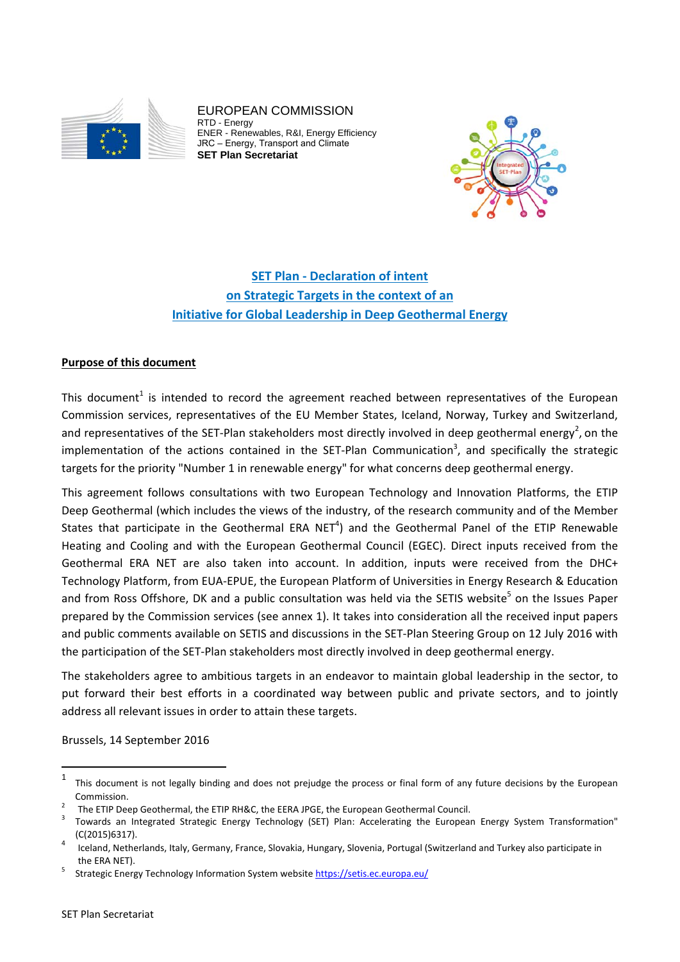

EUROPEAN COMMISSION RTD - Energy ENER - Renewables, R&I, Energy Efficiency JRC – Energy, Transport and Climate **SET Plan Secretariat** 



# **SET Plan ‐ Declaration of intent on Strategic Targets in the context of an Initiative for Global Leadership in Deep Geothermal Energy**

## **Purpose of this document**

This document<sup>1</sup> is intended to record the agreement reached between representatives of the European Commission services, representatives of the EU Member States, Iceland, Norway, Turkey and Switzerland, and representatives of the SET-Plan stakeholders most directly involved in deep geothermal energy<sup>2</sup>, on the implementation of the actions contained in the SET-Plan Communication<sup>3</sup>, and specifically the strategic targets for the priority "Number 1 in renewable energy" for what concerns deep geothermal energy.

This agreement follows consultations with two European Technology and Innovation Platforms, the ETIP Deep Geothermal (which includes the views of the industry, of the research community and of the Member States that participate in the Geothermal ERA NET<sup>4</sup>) and the Geothermal Panel of the ETIP Renewable Heating and Cooling and with the European Geothermal Council (EGEC). Direct inputs received from the Geothermal ERA NET are also taken into account. In addition, inputs were received from the DHC+ Technology Platform, from EUA‐EPUE, the European Platform of Universities in Energy Research & Education and from Ross Offshore, DK and a public consultation was held via the SETIS website<sup>5</sup> on the Issues Paper prepared by the Commission services (see annex 1). It takes into consideration all the received input papers and public comments available on SETIS and discussions in the SET‐Plan Steering Group on 12 July 2016 with the participation of the SET‐Plan stakeholders most directly involved in deep geothermal energy.

The stakeholders agree to ambitious targets in an endeavor to maintain global leadership in the sector, to put forward their best efforts in a coordinated way between public and private sectors, and to jointly address all relevant issues in order to attain these targets.

Brussels, 14 September 2016

 $1$  This document is not legally binding and does not prejudge the process or final form of any future decisions by the European Commission

The ETIP Deep Geothermal, the ETIP RH&C, the EERA JPGE, the European Geothermal Council.

 Towards an Integrated Strategic Energy Technology (SET) Plan: Accelerating the European Energy System Transformation" (C(2015)6317).<br>Iceland, Netherlands, Italy, Germany, France, Slovakia, Hungary, Slovenia, Portugal (Switzerland and Turkey also participate in

the ERA NET).

Strategic Energy Technology Information System website https://setis.ec.europa.eu/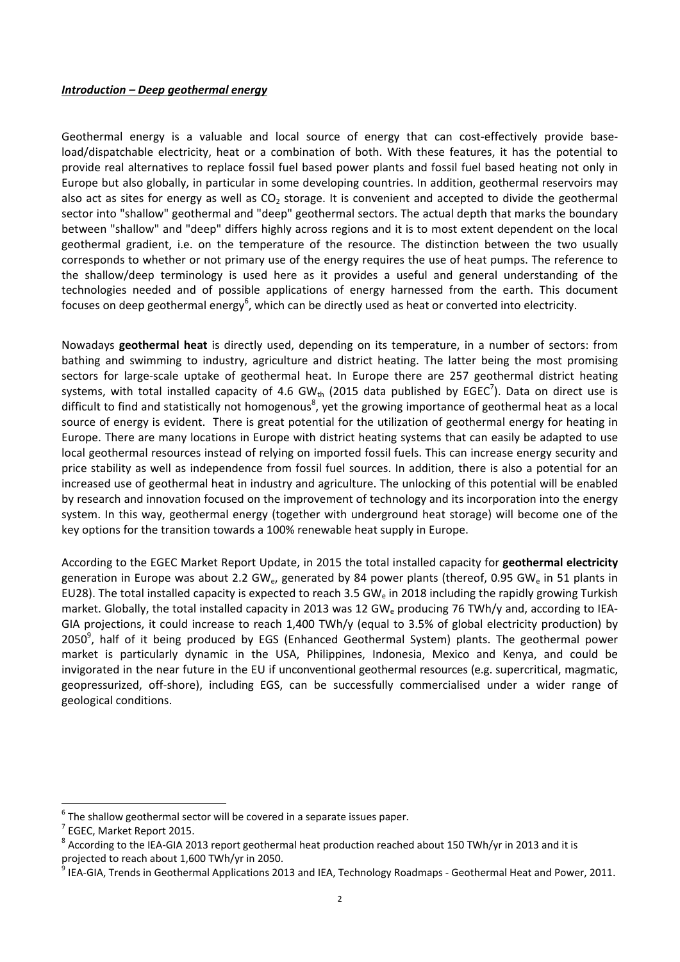### *Introduction – Deep geothermal energy*

Geothermal energy is a valuable and local source of energy that can cost-effectively provide baseload/dispatchable electricity, heat or a combination of both. With these features, it has the potential to provide real alternatives to replace fossil fuel based power plants and fossil fuel based heating not only in Europe but also globally, in particular in some developing countries. In addition, geothermal reservoirs may also act as sites for energy as well as  $CO<sub>2</sub>$  storage. It is convenient and accepted to divide the geothermal sector into "shallow" geothermal and "deep" geothermal sectors. The actual depth that marks the boundary between "shallow" and "deep" differs highly across regions and it is to most extent dependent on the local geothermal gradient, i.e. on the temperature of the resource. The distinction between the two usually corresponds to whether or not primary use of the energy requires the use of heat pumps. The reference to the shallow/deep terminology is used here as it provides a useful and general understanding of the technologies needed and of possible applications of energy harnessed from the earth. This document focuses on deep geothermal energy<sup>6</sup>, which can be directly used as heat or converted into electricity.

Nowadays **geothermal heat** is directly used, depending on its temperature, in a number of sectors: from bathing and swimming to industry, agriculture and district heating. The latter being the most promising sectors for large-scale uptake of geothermal heat. In Europe there are 257 geothermal district heating systems, with total installed capacity of 4.6 GW<sub>th</sub> (2015 data published by EGEC<sup>7</sup>). Data on direct use is difficult to find and statistically not homogenous<sup>8</sup>, yet the growing importance of geothermal heat as a local source of energy is evident. There is great potential for the utilization of geothermal energy for heating in Europe. There are many locations in Europe with district heating systems that can easily be adapted to use local geothermal resources instead of relying on imported fossil fuels. This can increase energy security and price stability as well as independence from fossil fuel sources. In addition, there is also a potential for an increased use of geothermal heat in industry and agriculture. The unlocking of this potential will be enabled by research and innovation focused on the improvement of technology and its incorporation into the energy system. In this way, geothermal energy (together with underground heat storage) will become one of the key options for the transition towards a 100% renewable heat supply in Europe.

According to the EGEC Market Report Update, in 2015 the total installed capacity for **geothermal electricity** generation in Europe was about 2.2 GW<sub>e</sub>, generated by 84 power plants (thereof, 0.95 GW<sub>e</sub> in 51 plants in EU28). The total installed capacity is expected to reach 3.5 GW<sub>e</sub> in 2018 including the rapidly growing Turkish market. Globally, the total installed capacity in 2013 was 12 GW<sub>e</sub> producing 76 TWh/y and, according to IEA-GIA projections, it could increase to reach 1,400 TWh/y (equal to 3.5% of global electricity production) by 2050<sup>9</sup>, half of it being produced by EGS (Enhanced Geothermal System) plants. The geothermal power market is particularly dynamic in the USA, Philippines, Indonesia, Mexico and Kenya, and could be invigorated in the near future in the EU if unconventional geothermal resources (e.g. supercritical, magmatic, geopressurized, off‐shore), including EGS, can be successfully commercialised under a wider range of geological conditions.

<sup>&</sup>lt;sup>6</sup> The shallow geothermal sector will be covered in a separate issues paper.<br>
<sup>7</sup> EGEC, Market Report 2015.<br>
<sup>8</sup> According to the IEA-GIA 2013 report geothermal heat production reached about 150 TWh/yr in 2013 and it is

projected to reach about 1,600 TWh/yr in 2050.<br><sup>9</sup> IEA-GIA, Trends in Geothermal Applications 2013 and IEA, Technology Roadmaps - Geothermal Heat and Power, 2011.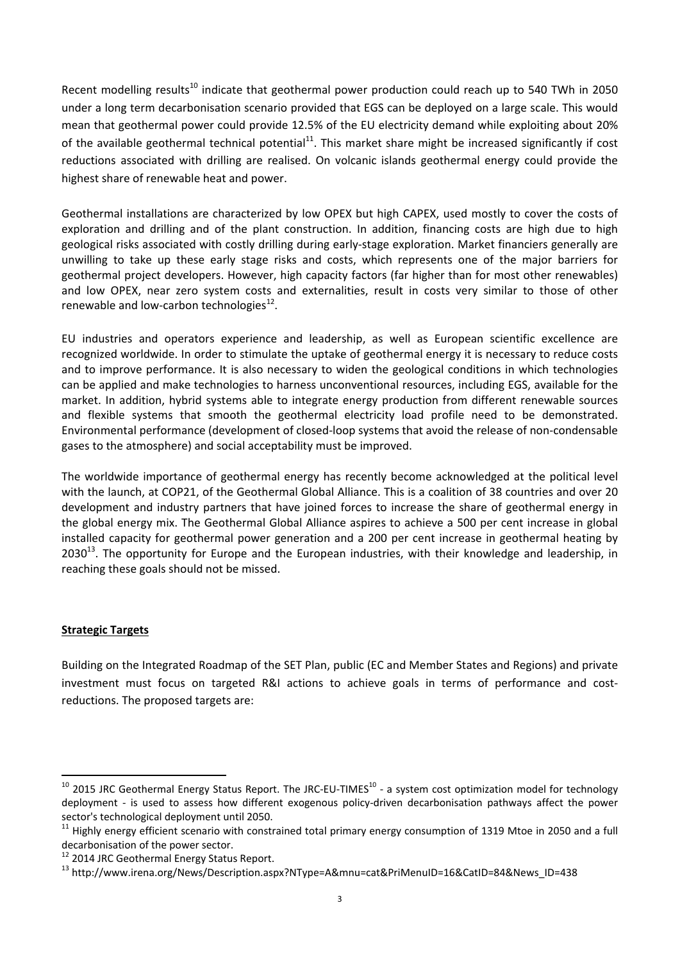Recent modelling results<sup>10</sup> indicate that geothermal power production could reach up to 540 TWh in 2050 under a long term decarbonisation scenario provided that EGS can be deployed on a large scale. This would mean that geothermal power could provide 12.5% of the EU electricity demand while exploiting about 20% of the available geothermal technical potential<sup>11</sup>. This market share might be increased significantly if cost reductions associated with drilling are realised. On volcanic islands geothermal energy could provide the highest share of renewable heat and power.

Geothermal installations are characterized by low OPEX but high CAPEX, used mostly to cover the costs of exploration and drilling and of the plant construction. In addition, financing costs are high due to high geological risks associated with costly drilling during early‐stage exploration. Market financiers generally are unwilling to take up these early stage risks and costs, which represents one of the major barriers for geothermal project developers. However, high capacity factors (far higher than for most other renewables) and low OPEX, near zero system costs and externalities, result in costs very similar to those of other renewable and low-carbon technologies $^{12}$ .

EU industries and operators experience and leadership, as well as European scientific excellence are recognized worldwide. In order to stimulate the uptake of geothermal energy it is necessary to reduce costs and to improve performance. It is also necessary to widen the geological conditions in which technologies can be applied and make technologies to harness unconventional resources, including EGS, available for the market. In addition, hybrid systems able to integrate energy production from different renewable sources and flexible systems that smooth the geothermal electricity load profile need to be demonstrated. Environmental performance (development of closed‐loop systems that avoid the release of non‐condensable gases to the atmosphere) and social acceptability must be improved.

The worldwide importance of geothermal energy has recently become acknowledged at the political level with the launch, at COP21, of the Geothermal Global Alliance. This is a coalition of 38 countries and over 20 development and industry partners that have joined forces to increase the share of geothermal energy in the global energy mix. The Geothermal Global Alliance aspires to achieve a 500 per cent increase in global installed capacity for geothermal power generation and a 200 per cent increase in geothermal heating by  $2030^{13}$ . The opportunity for Europe and the European industries, with their knowledge and leadership, in reaching these goals should not be missed.

# **Strategic Targets**

Building on the Integrated Roadmap of the SET Plan, public (EC and Member States and Regions) and private investment must focus on targeted R&I actions to achieve goals in terms of performance and costreductions. The proposed targets are:

 $10$  2015 JRC Geothermal Energy Status Report. The JRC-EU-TIMES $^{10}$  - a system cost optimization model for technology deployment - is used to assess how different exogenous policy-driven decarbonisation pathways affect the power sector's technological deployment until 2050.<br><sup>11</sup> Highly energy efficient scenario with constrained total primary energy consumption of 1319 Mtoe in 2050 and a full

decarbonisation of the power sector.<br><sup>12</sup> 2014 JRC Geothermal Energy Status Report.<br><sup>13</sup> http://www.irena.org/News/Description.aspx?NType=A&mnu=cat&PriMenuID=16&CatID=84&News\_ID=438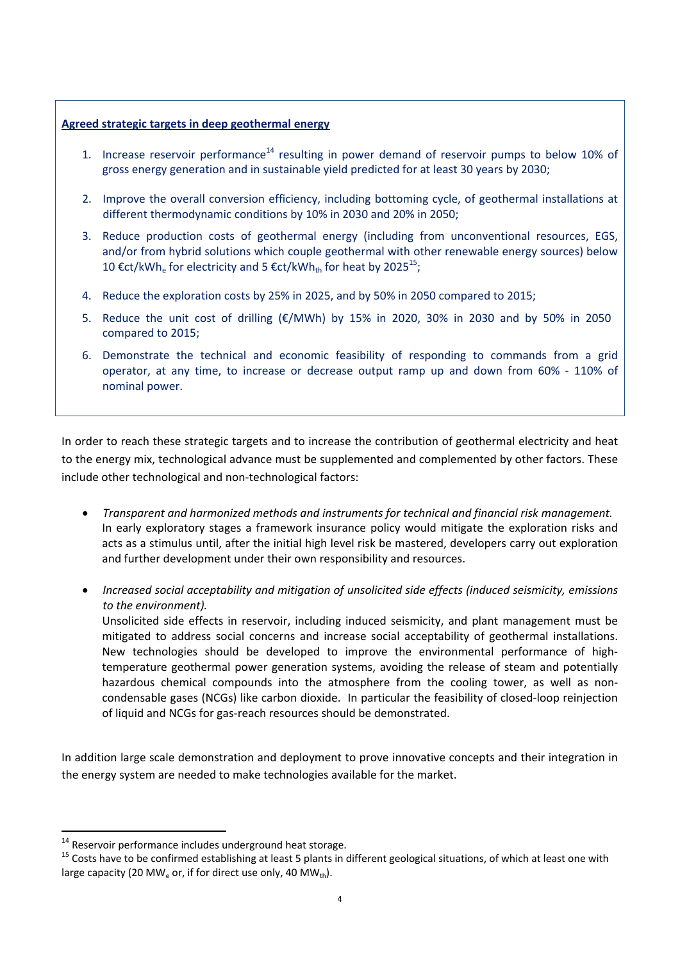## **Agreed strategic targets in deep geothermal energy**

- 1. Increase reservoir performance<sup>14</sup> resulting in power demand of reservoir pumps to below 10% of gross energy generation and in sustainable yield predicted for at least 30 years by 2030;
- 2. Improve the overall conversion efficiency, including bottoming cycle, of geothermal installations at different thermodynamic conditions by 10% in 2030 and 20% in 2050;
- 3. Reduce production costs of geothermal energy (including from unconventional resources, EGS, and/or from hybrid solutions which couple geothermal with other renewable energy sources) below 10 €ct/kWh<sub>e</sub> for electricity and 5 €ct/kWh<sub>th</sub> for heat by 2025<sup>15</sup>;
- 4. Reduce the exploration costs by 25% in 2025, and by 50% in 2050 compared to 2015;
- 5. Reduce the unit cost of drilling (€/MWh) by 15% in 2020, 30% in 2030 and by 50% in 2050 compared to 2015;
- 6. Demonstrate the technical and economic feasibility of responding to commands from a grid operator, at any time, to increase or decrease output ramp up and down from 60% ‐ 110% of nominal power.

In order to reach these strategic targets and to increase the contribution of geothermal electricity and heat to the energy mix, technological advance must be supplemented and complemented by other factors. These include other technological and non-technological factors:

- *Transparent and harmonized methods and instruments for technical and financial risk management.*  In early exploratory stages a framework insurance policy would mitigate the exploration risks and acts as a stimulus until, after the initial high level risk be mastered, developers carry out exploration and further development under their own responsibility and resources.
- *Increased social acceptability and mitigation of unsolicited side effects (induced seismicity, emissions to the environment).*

Unsolicited side effects in reservoir, including induced seismicity, and plant management must be mitigated to address social concerns and increase social acceptability of geothermal installations. New technologies should be developed to improve the environmental performance of hightemperature geothermal power generation systems, avoiding the release of steam and potentially hazardous chemical compounds into the atmosphere from the cooling tower, as well as noncondensable gases (NCGs) like carbon dioxide. In particular the feasibility of closed‐loop reinjection of liquid and NCGs for gas‐reach resources should be demonstrated.

In addition large scale demonstration and deployment to prove innovative concepts and their integration in the energy system are needed to make technologies available for the market.

<sup>&</sup>lt;sup>14</sup> Reservoir performance includes underground heat storage.

<sup>&</sup>lt;sup>15</sup> Costs have to be confirmed establishing at least 5 plants in different geological situations, of which at least one with large capacity (20 MW<sub>e</sub> or, if for direct use only, 40 MW<sub>th</sub>).